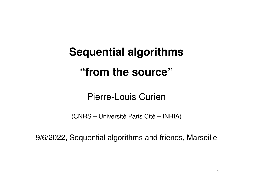# **Sequential algorithms "from the source"**

Pierre-Louis Curien

(CNRS – Université Paris Cité – INRIA)

9/6/2022, Sequential algorithms and friends, Marseille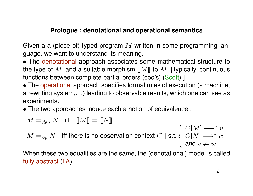# **Prologue : denotational and operational semantics**

Given a a (piece of) typed program  $M$  written in some programming language, we want to understand its meaning.

- The denotational approach associates some mathematical structure to the type of M, and a suitable morphism  $[[M]]$  to M. [Typically, continuous functions between complete partial orders (cpo's) (Scott).]
- The operational approach specifies formal rules of execution (a machine, a rewriting system,. . .) leading to observable results, which one can see as experiments.
- The two approaches induce each a notion of equivalence :

$$
M =_{den} N \quad \text{iff} \quad [M] = [N]
$$
  

$$
M =_{op} N \quad \text{iff there is no observation context } C[] \text{ s.t. } \begin{cases} C[M] \rightarrow^* v \\ C[N] \rightarrow^* w \\ \text{and } v \neq w \end{cases}
$$

When these two equalities are the same, the (denotational) model is called fully abstract (FA).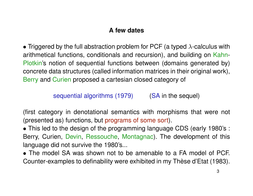# **A few dates**

• Triggered by the full abstraction problem for PCF (a typed  $\lambda$ -calculus with arithmetical functions, conditionals and recursion), and building on Kahn-Plotkin's notion of sequential functions between (domains generated by) concrete data structures (called information matrices in their original work), Berry and Curien proposed a cartesian closed category of

sequential algorithms (1979) (SA in the sequel)

(first category in denotational semantics with morphisms that were not (presented as) functions, but programs of some sort).

• This led to the design of the programming language CDS (early 1980's : Berry, Curien, Devin, Ressouche, Montagnac). The development of this language did not survive the 1980's...

• The model SA was shown not to be amenable to a FA model of PCF. Counter-examples to definability were exhibited in my Thèse d'Etat (1983).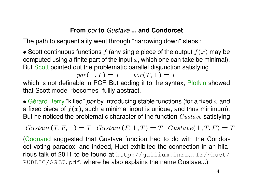# **From** *por* **to** *Gustave* **... and Condorcet**

The path to sequentiality went through "narrowing down" steps :

• Scott continuous functions  $f$  (any single piece of the output  $f(x)$  may be computed using a finite part of the input  $x$ , which one can take be minimal). But Scott pointed out the problematic parallel disjunction satisfying

 $por(\bot, T) = T$  por $(T, \bot) = T$ 

which is not definable in PCF. But adding it to the syntax, Plotkin showed that Scott model "becomes" fullly abstract.

 $\bullet$  Gérard Berry "killed" *por* by introducing stable functions (for a fixed  $x$  and a fixed piece of  $f(x)$ , such a minimal input is unique, and thus minimum). But he noticed the problematic character of the function  $Gustave$  satisfying

 $Gustave(T, F, \perp) = T$   $Gustave(F, \perp, T) = T$   $Gustave(\perp, T, F) = T$ 

(Coquand suggested that Gustave function had to do with the Condorcet voting paradox, and indeed, Huet exhibited the connection in an hilarious talk of 2011 to be found at http://gallium.inria.fr/~huet/ PUBLIC/GGJJ.pdf, where he also explains the name Gustave...)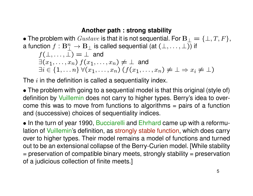# **Another path : strong stability**

• The problem with  $Gustave$  is that it is not sequential. For  $B_{\perp} = {\perp, T, F}$ , a function  $f:\mathbf{B}_{\bot}^n\to\mathbf{B}_{\bot}$  is called sequential (at  $(\bot,\ldots,\bot\overline{)}$  if  $f(\bot,\ldots,\bot) = \bot$  and  $\exists (x_1, \ldots, x_n)$   $f(x_1, \ldots, x_n) \neq \bot$  and  $\exists i \in \{1, \ldots n\} \; \forall (x_1, \ldots, x_n) \; (f(x_1, \ldots, x_n) \neq \bot \Rightarrow x_i \neq \bot)$ 

The  $i$  in the definition is called a sequentiality index.

• The problem with going to a sequential model is that this original (style of) definition by Vuillemin does not carry to higher types. Berry's idea to overcome this was to move from functions to algorithms = pairs of a function and (successive) choices of sequentiality indices.

• In the turn of year 1990, Bucciarelli and Ehrhard came up with a reformulation of Vuillemin's definition, as strongly stable function, which does carry over to higher types. Their model remains a model of functions and turned out to be an extensional collapse of the Berry-Curien model. [While stability = preservation of compatible binary meets, strongly stability = preservation of a judicious collection of finite meets.]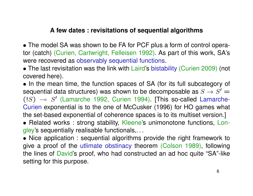# **A few dates : revisitations of sequential algorithms**

- The model SA was shown to be FA for PCF plus a form of control operator (catch) (Curien, Cartwright, Felleisen 1992). As part of this work, SA's were recovered as observably sequential functions.
- The last revisitation was the link with Laird's bistability (Curien 2009) (not covered here).

• In the mean time, the function spaces of SA (for its full subcategory of sequential data structures) was shown to be decomposable as  $S\to S'$   $=$  $(!S) \sim S'$  (Lamarche 1992, Curien 1994). [This so-called Lamarche-Curien exponential is to the one of McCusker (1996) for HO games what the set-based exponential of coherence spaces is to its multiset version.]

• Related works : strong stability, Kleene's unimonotone functions, Longley's sequentially realisable functionals,. . .

• Nice application : sequential algorithms provide the right framework to give a proof of the utlimate obstinacy theorem (Colson 1989), following the lines of David's proof, who had constructed an ad hoc quite "SA"-like setting for this purpose.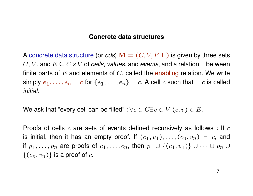## **Concrete data structures**

A concrete data structure (or *cds*)  $\mathbf{M} = (C, V, E, \vdash)$  is given by three sets C, V, and  $E \subseteq C \times V$  of *cells*, *values*, and *events*, and a relation  $\vdash$  between finite parts of  $E$  and elements of  $C$ , called the enabling relation. We write simply  $e_1, \ldots, e_n \vdash c$  for  $\{e_1, \ldots, e_n\} \vdash c$ . A cell c such that  $\vdash c$  is called *initial*.

We ask that "every cell can be filled" :  $\forall c \in C \exists v \in V$   $(c, v) \in E$ .

Proofs of cells  $c$  are sets of events defined recursively as follows : If  $c$ is initial, then it has an empty proof. If  $(c_1, v_1), \ldots, (c_n, v_n) \vdash c$ , and if  $p_1, \ldots, p_n$  are proofs of  $c_1, \ldots, c_n$ , then  $p_1 \cup \{(c_1, v_1)\} \cup \cdots \cup p_n \cup$  $\{(c_n, v_n)\}\)$  is a proof of c.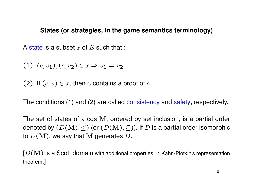## **States (or strategies, in the game semantics terminology)**

A state is a subset x of  $E$  such that :

(1)  $(c, v_1), (c, v_2) \in x \Rightarrow v_1 = v_2.$ 

(2) If  $(c, v) \in x$ , then x contains a proof of c.

The conditions (1) and (2) are called consistency and safety, respectively.

The set of states of a cds M, ordered by set inclusion, is a partial order denoted by  $(D(M), \leq)$  (or  $(D(M), \subseteq)$ ). If D is a partial order isomorphic to  $D(M)$ , we say that M generates D.

 $[D(M)]$  is a Scott domain with additional properties  $\rightarrow$  Kahn-Plotkin's representation theorem.]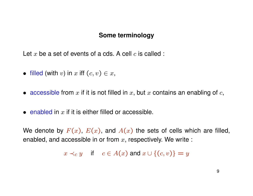#### **Some terminology**

Let x be a set of events of a cds. A cell  $c$  is called :

- filled (with v) in x iff  $(c, v) \in x$ ,
- accessible from  $x$  if it is not filled in  $x$ , but  $x$  contains an enabling of  $c$ ,
- enabled in  $x$  if it is either filled or accessible.

We denote by  $F(x)$ ,  $E(x)$ , and  $A(x)$  the sets of cells which are filled, enabled, and accessible in or from  $x$ , respectively. We write :

 $x \prec_c y$  if  $c \in A(x)$  and  $x \cup \{(c, v)\} = y$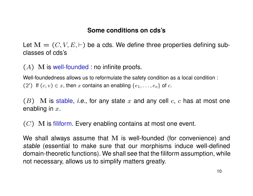# **Some conditions on cds's**

Let  $\mathbf{M} = (C, V, E, \vdash)$  be a cds. We define three properties defining subclasses of cds's

 $(A)$  M is well-founded : no infinite proofs.

Well-foundedness allows us to reformulate the safety condition as a local condition : (2') If  $(c, v) \in x$ , then x contains an enabling  $\{e_1, \ldots, e_n\}$  of c.

 $(B)$  M is stable, *i.e.*, for any state x and any cell  $c$ ,  $c$  has at most one enabling in  $x$ .

 $(C)$  M is filiform. Every enabling contains at most one event.

We shall always assume that M is well-founded (for convenience) and *stable* (essential to make sure that our morphisms induce well-defined domain-theoretic functions). We shall see that the filiform assumption, while not necessary, allows us to simplify matters greatly.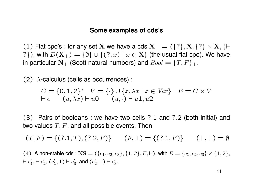#### **Some examples of cds's**

(1) Flat cpo's : for any set X we have a cds  $X_{\perp} = (\{? \}, X, \{? \} \times X, \{\vdash\}$ ?}), with  $D(\mathbf{X}_+) = \{\emptyset\} \cup \{(?,x) \mid x \in \mathbf{X}\}\$  (the usual flat cpo). We have in particular N<sub>⊥</sub> (Scott natural numbers) and  $Bool = \{T, F\}$ <sub>⊥</sub>.

(2)  $\lambda$ -calculus (cells as occurrences):

$$
C = \{0, 1, 2\}^* \quad V = \{\cdot\} \cup \{x, \lambda x \mid x \in Var\} \quad E = C \times V
$$
  
\n
$$
\vdash \epsilon \quad (u, \lambda x) \vdash u0 \quad (u, \cdot) \vdash u1, u2
$$

(3) Pairs of booleans : we have two cells ?.1 and ?.2 (both initial) and two values  $T, F$ , and all possible events. Then

 $(T, F) = \{ (?, 1, T), (?, 2, F) \}$   $(F, \perp) = \{ (?, 1, F) \}$   $(\perp, \perp) = \emptyset$ 

(4) A non-stable cds :  $NS = (\{c_1, c_2, c_3\}, \{1, 2\}, E, \vdash)$ , with  $E = \{c_1, c_2, c_3\} \times \{1, 2\},$  $\vdash c'_1$  $t'_{1}, \vdash c'_{2}$  $'_{2}$ ,  $(c'_{1})$  $c_1',1) \vdash c_3'$  $'_{3}$ , and  $(c'_{2})$  $c_2^\prime, 1) \vdash c_3^\prime$ ,<br>3.

11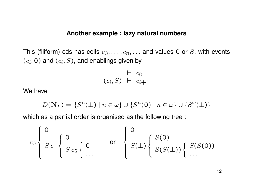#### **Another example : lazy natural numbers**

This (filiform) cds has cells  $c_0, \ldots, c_n, \ldots$  and values 0 or S, with events  $(c_i, 0)$  and  $(c_i, S)$ , and enablings given by

$$
\begin{array}{c}\n \vdash \ c_0 \\
(c_i, S) \vdash \ c_{i+1}\n \end{array}
$$

We have

$$
D(\mathbf{N}_L) = \{S^n(\perp) \mid n \in \omega\} \cup \{S^n(0) \mid n \in \omega\} \cup \{S^\omega(\perp)\}\
$$

which as a partial order is organised as the following tree :

$$
c_0 \left\{ \begin{array}{c} 0 \\ S \ c_1 \end{array} \right\} \begin{array}{c} 0 \\ S \ c_2 \end{array} \left\{ \begin{array}{c} 0 \\ 0 \end{array} \right\} \quad \text{or} \quad \left\{ \begin{array}{c} 0 \\ S(\perp) \end{array} \right\} \begin{array}{c} S(0) \\ S(S(\perp)) \end{array} \left\{ \begin{array}{c} S(S(0)) \\ \ldots \end{array} \right.
$$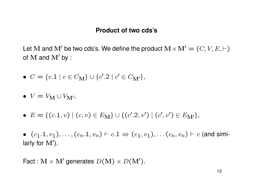## **Product of two cds's**

Let M and M' be two cds's. We define the product  $M \times M' = (C, V, E, \vdash)$ of  $M$  and  $M'$  by :

- $C = \{c.1 \mid c \in C_{\mathbf{M}}\} \cup \{c'.2 \mid c' \in C_{\mathbf{M'}}\},\$
- $V = V_M \cup V_{M'},$
- $E = \{(c.1, v) \mid (c, v) \in E_M\} \cup \{(c'.2, v') \mid (c', v') \in E_{M'}\},\$

•  $(c_1.1, v_1), \ldots, (c_n.1, v_n) \vdash c.1 \Leftrightarrow (c_1, v_1), \ldots, (c_n, v_n) \vdash c$  (and similarly for  $M'$ ).

Fact :  $M \times M'$  generates  $D(M) \times D(M')$ .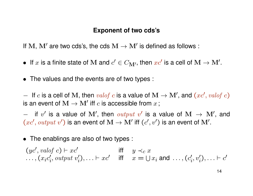## **Exponent of two cds's**

If M, M' are two cds's, the cds  $M \to M'$  is defined as follows :

- If  $x$  is a finite state of M and  $c' \in C_{\mathbf{M}'},$  then  $xc'$  is a cell of  $\mathbf{M} \to \mathbf{M}'$ .
- The values and the events are of two types :

− If c is a cell of M, then valof c is a value of  $M \to M'$ , and  $(xc', valof c)$ is an event of  $\mathrm{M} \rightarrow \mathrm{M}^\prime$  iff  $c$  is accessible from  $x$  ;

 $-$  if  $v'$  is a value of M', then  $output$  v' is a value of M  $\rightarrow$  M', and  $(xc', output v')$  is an event of  $M \to M'$  iff  $(c', v')$  is an event of  $M'$ .

• The enablings are also of two types :

$$
(yc',\text{valof } c) \vdash xc' \quad \text{iff} \quad y \prec_c x
$$
  
...,  $(x_ic'_i, \text{output } v'_i), \ldots \vdash xc'$  iff  $x = \bigcup x_i \text{ and } \ldots, (c'_i, v'_i), \ldots \vdash c'$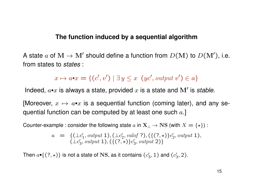## **The function induced by a sequential algorithm**

A state a of  $M \to M'$  should define a function from  $D(M)$  to  $D(M')$ , i.e. from states to *states* :

 $x \mapsto a \cdot x = \{ (c', v') \mid \exists y \leq x \ (yc', output \ v') \in a \}$ 

Indeed,  $a \cdot x$  is always a state, provided  $x$  is a state and  $M'$  is stable.

[Moreover,  $x \mapsto a \cdot x$  is a sequential function (coming later), and any sequential function can be computed by at least one such  $a.$ ]

Counter-example : consider the following state  $a$  in  $X_\perp \to NS$  (with  $X = \{*\}$ ) :

$$
a = \{ (\perp c'_1, output 1), (\perp c'_2, val of 7), (\{ (?,*) \} c'_2, output 1), (\perp c'_3, output 1), (\{ (?,*) \} c'_3, output 2) \}
$$

Then  $a\bullet \{(?, \star)\}$  is not a state of NS, as it contains  $(c_2')$  $\mathcal{C}'_3$ , 1) and ( $\mathcal{C}'_3$  $'_{3}$ , 2).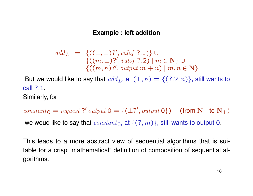## **Example : left addition**

add<sub>L</sub> = {((
$$
\bot
$$
,  $\bot$ )?', *valof* ?.1)}  
{(( $m$ ,  $\bot$ )?', *valof* ?.2) |  $m \in \mathbb{N}$ }  
{(( $m$ ,  $n$ )?', *output*  $m + n$ ) |  $m, n \in \mathbb{N}$ }

But we would like to say that  $add_L$ , at  $(\perp, n) = \{(?, 2, n)\}\$ , still wants to call ?.1. Similarly, for

constant<sub>0</sub> = request?' output  $0 = \{(\perp ?', output 0\})$  (from  $N_{\perp}$  to  $N_{\perp}$ ) we woud like to say that  $constant_0$ , at  $\{(?, m)\}$ , still wants to output 0.

This leads to a more abstract view of sequential algorithms that is suitable for a crisp "mathematical" definition of composition of sequential algorithms.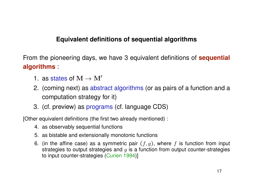# **Equivalent definitions of sequential algorithms**

From the pioneering days, we have 3 equivalent definitions of **sequential algorithms** :

- 1. as states of  $M \to M'$
- 2. (coming next) as abstract algorithms (or as pairs of a function and a computation strategy for it)
- 3. (cf. preview) as programs (cf. language CDS)

[Other equivalent definitions (the first two already mentioned) :

- 4. as observably sequential functions
- 5. as bistable and extensionally monotonic functions
- 6. (in the affine case) as a symmetric pair  $(f, g)$ , where f is function from input strategies to output strategies and  $g$  is a function from output counter-strategies to input counter-strategies (Curien 1994)]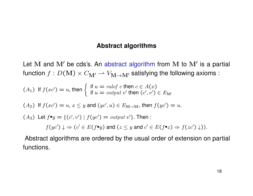#### **Abstract algorithms**

Let M and  $M'$  be cds's. An abstract algorithm from M to  $M'$  is a partial function  $f: D(M) \times C_{M'} \to V_{M \to M'}$  satisfying the following axioms :

\n- (A<sub>1</sub>) If 
$$
f(xc') = u
$$
, then  $\begin{cases} \text{if } u = \text{valof } c \text{ then } c \in A(x) \\ \text{if } u = \text{output } v' \text{ then } (c', v') \in E_{\mathbb{M}'} \end{cases}$
\n- (A<sub>2</sub>) If  $f(xc') = u, x \leq y$  and  $(yc', u) \in E_{\mathbb{M} \to \mathbb{M}'}$ , then  $f(yc') = u$ .
\n- (A<sub>3</sub>) Let  $f \bullet y = \{(c', v') \mid f(yc') = \text{output } v'\}$ . Then :
\n

 $f(yc')\downarrow \Rightarrow (c' \in E(f\bullet y) \text{ and } (z\leq y \text{ and } c' \in E(f\bullet z) \Rightarrow f(zc')\downarrow)).$ 

Abstract algorithms are ordered by the usual order of extension on partial functions.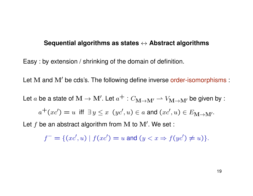#### **Sequential algorithms as states** ↔ **Abstract algorithms**

Easy : by extension / shrinking of the domain of definition.

Let  $M$  and  $M'$  be cds's. The following define inverse order-isomorphisms :

Let  $a$  be a state of  $\mathbf{M} \to \mathbf{M'}$ . Let  $a^+ : C_{\mathbf{M} \to \mathbf{M'}} \rightharpoonup V_{\mathbf{M} \to \mathbf{M'}}$  be given by :

$$
a^+(xc') = u \text{ iff } \exists y \leq x \ (yc', u) \in a \text{ and } (xc', u) \in E_{\mathbf{M} \to \mathbf{M'}}.
$$

Let  $f$  be an abstract algorithm from M to  $M'$ . We set :

$$
f^- = \{ (xc', u) \mid f(xc') = u \text{ and } (y < x \Rightarrow f(yc') \neq u) \}.
$$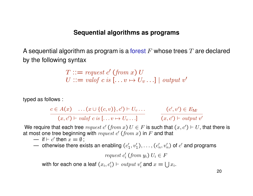## **Sequential algorithms as programs**

A sequential algorithm as program is a forest  $F$  whose trees  $T$  are declared by the following syntax

$$
T ::= request \ c' \ (from \ x) \ U
$$
  

$$
U ::= valof \ c \ is \ [...v \mapsto U_v...] \ | \ output \ v'
$$

typed as follows :

$$
\frac{c \in A(x) \quad \dots (x \cup \{(c, v)\}, c') \vdash U_v \dots}{(x, c') \vdash valof \ c \ is \ [\dots v \mapsto U_v \dots]} \qquad \qquad \frac{(c', v') \in E_{\mathbf{M}'} }{(x, c') \vdash output \ v'}
$$

We require that each tree  $\mathit{request}~c'~(from~x)~U \in F$  is such that  $(x,c') \vdash U,$  that there is at most one tree beginning with  $request c' (from x)$  in  $F$  and that

- if  $\vdash c'$  then  $x = \emptyset$ ;
- otherwise there exists an enabling ( $c_1'$  $\binom{1}{1}, \upsilon'_1), \ldots, (c'_n)$  $\mathcal{C}_n',v'_n)$  of  $c'$  and programs

$$
request\ c'_i\ (from\ y_i)\ U_i\in F
$$

with for each one a leaf  $(x_i, c'_i) \vdash output \ v'_i$  $i_i'$  and  $x = \bigcup x_i$ .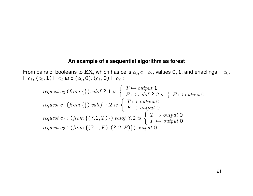#### **An example of a sequential algorithm as forest**

From pairs of booleans to EX, which has cells  $c_0, c_1, c_2$ , values 0, 1, and enablings  $\vdash c_0$ ,  $\vdash c_1, (c_0, 1) \vdash c_2$  and  $(c_0, 0), (c_1, 0) \vdash c_2$ :

\n
$$
\text{request } c_0 \text{ (from } \{\text{}) \text{ } \text{valof } ? \text{.1 is } \left\{ \begin{array}{l}\n T \mapsto \text{output } 1 \\
F \mapsto \text{valof } ? \text{.2 is } \left\{ \begin{array}{l}\n F \mapsto \text{output } 0 \\
F \mapsto \text{output } 0\n \end{array} \right\}
$$
\n

\n\n $\text{request } c_1 \text{ (from } \{\text{}) \text{ } \text{valof } ? \text{.2 is } \left\{ \begin{array}{l}\n T \mapsto \text{output } 0 \\
F \mapsto \text{output } 0 \\
F \mapsto \text{output } 0\n \end{array} \right.$ \n

\n\n $\text{request } c_2 : \text{ (from } \{(?,1, T)\} \text{ ) } \text{valof } ? \text{.2 is } \left\{ \begin{array}{l}\n T \mapsto \text{output } 0 \\
F \mapsto \text{output } 0 \\
F \mapsto \text{output } 0\n \end{array} \right.$ \n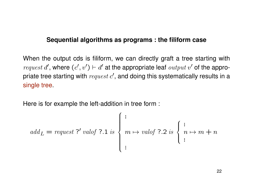## **Sequential algorithms as programs : the filiform case**

When the output cds is filiform, we can directly graft a tree starting with *request d'*, where  $(c', v') \vdash d'$  at the appropriate leaf *output* v' of the appropriate tree starting with  $request\ c',$  and doing this systematically results in a single tree.

Here is for example the left-addition in tree form :

$$
add_L = request ?' valof ?.1 is \begin{cases} \begin{cases} \begin{cases} \begin{cases} \begin{cases} \end{cases} \end{cases} & \text{if } n \mapsto m + n \\ \begin{cases} \begin{cases} \end{cases} \end{cases} \\ \begin{cases} \begin{cases} \end{cases} \end{cases} & \text{if } n \mapsto m + n \end{cases} \\ \begin{cases} \begin{cases} \end{cases} & \text{if } n \mapsto m + n \end{cases} \end{cases}
$$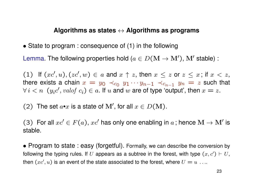#### **Algorithms as states** ↔ **Algorithms as programs**

• State to program : consequence of (1) in the following

Lemma. The following properties hold  $(a \in D(M \rightarrow M'))$ , M' stable) :

(1) If  $(xc', u), (zc', w) \in a$  and  $x \uparrow z$ , then  $x \leq z$  or  $z \leq x$ ; if  $x < z$ , there exists a chain  $x = y_0 \prec_{c_0} y_1 \cdots y_{n-1} \prec_{c_{n-1}} y_n = z$  such that  $\forall i < n \ (y_i c', \text{valof } c_i) \in a$ . If u and w are of type 'output', then  $x = z$ .

(2) The set  $a \cdot x$  is a state of M', for all  $x \in D(M)$ .

(3) For all  $xc' \in F(a)$ ,  $xc'$  has only one enabling in a; hence  $\mathbf{M} \to \mathbf{M'}$  is stable.

• Program to state : easy (forgetful). Formally, we can describe the conversion by following the typing rules. If U appears as a subtree in the forest, with type  $(x, c') \vdash U$ , then  $(xc',u)$  is an event of the state associated to the forest, where  $U=u\,\ldots\,$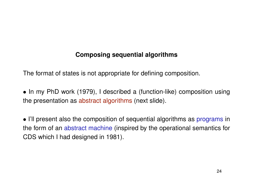# **Composing sequential algorithms**

The format of states is not appropriate for defining composition.

• In my PhD work (1979), I described a (function-like) composition using the presentation as abstract algorithms (next slide).

• I'll present also the composition of sequential algorithms as programs in the form of an abstract machine (inspired by the operational semantics for CDS which I had designed in 1981).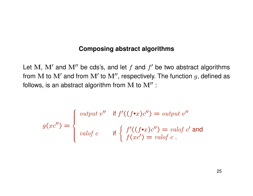## **Composing abstract algorithms**

Let M, M' and M'' be cds's, and let  $f$  and  $f'$  be two abstract algorithms from M to  $\mathbf{M}'$  and from  $\mathbf{M}'$  to  $\mathbf{M}''$ , respectively. The function  $g$ , defined as follows, is an abstract algorithm from  $M$  to  $M''$  :

$$
g(xc'') = \begin{cases} \text{output } v'' & \text{if } f'((f\bullet x)c'') = \text{output } v''\\ \text{valof } c & \text{if } \begin{cases} f'((f\bullet x)c'') = \text{valof } c' \text{ and} \\ f(xc') = \text{valof } c \end{cases} \end{cases}
$$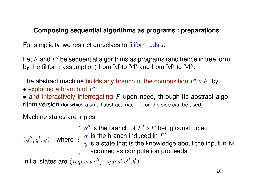# **Composing sequential algorithms as programs : preparations**

For simplicity, we restrict ourselves to filiform cds's.

Let  $F$  and  $F'$  be sequential algorithms as programs (and hence in tree form by the filiform assumption) from M to M' and from M' to M".

The abstract machine builds any branch of the composition  $F' \circ F$ , by

• exploring a branch of  $F'$ 

• and interactively interrogating  $F$  upon need, through its abstract algorithm version (for which a small abstract machine on the side can be used).

Machine states are triples

 $(q'', q', y)$  where

 $q''$  is the branch of  $F' \circ F$  being constructed  $q'$  is the branch induced in  $F'$  $y$  is a state that is the knowledge about the input in  $\bf M$ acquired as computation proceeds

Initial states are (request  $c''$ , request  $c''$ ,  $\emptyset$ ).

 $\int$ 

 $\int$ 

 $\overline{\mathcal{L}}$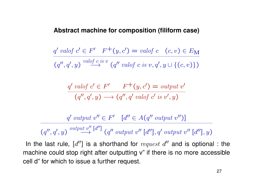#### **Abstract machine for composition (filiform case)**

$$
\frac{q' \text{ } valof \text{ } c' \in F' \quad F^+(y, c') = \text{ } valof \text{ } c \quad (c, v) \in E_{\mathbf{M}}}{(q'', q', y) \xrightarrow{\text{ } valof \text{ } c \text{ } is \text{ } v} (q'' \text{ }valof \text{ } c \text{ } is \text{ } v, q', y \cup \{(c, v)\})}
$$

$$
\frac{q' \text{ }valof \text{ } c' \in F' \qquad F^+(y, c') = \text{ }output \text{ } v'}{(q'', q', y) \longrightarrow (q'', q' \text{ }valof \text{ } c' \text{ }is \text{ } v', y)}
$$

$$
\frac{q' \; output \; v'' \in F' \quad [d'' \in A(q'' \; output \; v'')]}{(q'', q', y) \stackrel{\text{output } v''}{\longrightarrow} [d''] \; (q'' \; output \; v'' \; [d''], q' \; output \; v'' \; [d''], q)
$$

In the last rule,  $[d'']$  is a shorthand for  $request$   $d''$  and is optional : the machine could stop right after outputting v" if there is no more accessible cell d" for which to issue a further request.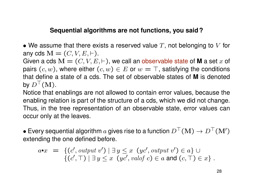# **Sequential algorithms are not functions, you said ?**

• We assume that there exists a reserved value  $T$ , not belonging to  $V$  for any cds  $\mathbf{M} = (C, V, E, \vdash).$ 

Given a cds  $\mathbf{M} = (C, V, E, \vdash)$ , we call an observable state of **M** a set x of pairs  $(c, w)$ , where either  $(c, w) \in E$  or  $w = \top$ , satisfying the conditions that define a state of a cds. The set of observable states of **M** is denoted by  $D^{\top}(\mathbf{M}).$ 

Notice that enablings are not allowed to contain error values, because the enabling relation is part of the structure of a cds, which we did not change. Thus, in the tree representation of an observable state, error values can occur only at the leaves.

• Every sequential algorithm  $a$  gives rise to a function  $D^{\top}(\mathbf{M}) \to D^{\top}(\mathbf{M}^{\prime})$ extending the one defined before.

$$
a \bullet x = \{(c', output \ v') \mid \exists y \leq x \ (yc', output \ v') \in a\} \cup \{(c', \top) \mid \exists y \leq x \ (yc', valof \ c) \in a \text{ and } (c, \top) \in x\}.
$$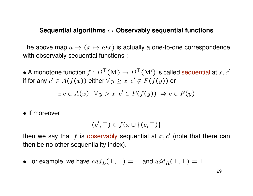## **Sequential algorithms** ↔ **Observably sequential functions**

The above map  $a \mapsto (x \mapsto a \cdot x)$  is actually a one-to-one correspondence with observably sequential functions :

• A monotone function  $f: D^{\top}(\mathbf{M}) \to D^{\top}(\mathbf{M}')$  is called sequential at  $x, c'$ if for any  $c' \in A(f(x))$  either  $\forall y \geq x \; c' \not\in F(f(y))$  or

$$
\exists c \in A(x) \ \forall y > x \ c' \in F(f(y)) \ \Rightarrow c \in F(y)
$$

• If moreover

$$
(c', \top) \in f(x \cup \{(c, \top)\}\)
$$

then we say that  $f$  is observably sequential at  $x, c'$  (note that there can then be no other sequentiality index).

• For example, we have  $add_L(\perp, \top) = \perp$  and  $add_R(\perp, \top) = \top$ .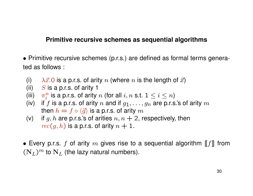## **Primitive recursive schemes as sequential algorithms**

• Primitive recursive schemes (p.r.s.) are defined as formal terms generated as follows :

- (i)  $\lambda \vec{x}$ . O is a p.r.s. of arity n (where n is the length of  $\vec{x}$ )
- (ii)  $S$  is a p.r.s. of arity 1
- (iii)  $\pi_i^n$  $\frac{n}{i}$  is a p.r.s. of arity  $n$  (for all  $i, n$  s.t.  $1 \leq i \leq n)$
- (iv) if f is a p.r.s. of arity n and if  $g_1, \ldots, g_n$  are p.r.s.'s of arity m then  $h = f \circ \langle \vec{g} \rangle$  is a p.r.s. of arity m
- (v) if g, h are p.r.s.'s of arities  $n, n + 2$ , respectively, then  $rec(g, h)$  is a p.r.s. of arity  $n + 1$ .
- Every p.r.s. f of arity  $m$  gives rise to a sequential algorithm  $[[f]]$  from  $(N_L)^m$  to  $N_L$  (the lazy natural numbers).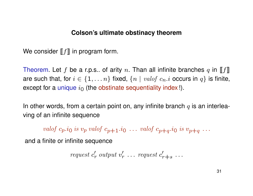## **Colson's ultimate obstinacy theorem**

We consider  $[[f]]$  in program form.

Theorem. Let f be a r.p.s.. of arity n. Than all infinite branches q in [[f]] are such that, for  $i \in \{1, \ldots n\}$  fixed,  $\{n \mid valof c_n.i \text{ occurs in } q\}$  is finite, except for a unique  $i_0$  (the obstinate sequentiality index !).

In other words, from a certain point on, any infinite branch  $q$  is an interleaving of an infinite sequence

valof  $c_p.i_0$  is  $v_p$  valof  $c_{p+1}.i_0 \ldots$  valof  $c_{p+q}.i_0$  is  $v_{p+q} \ldots$ 

and a finite or infinite sequence

$$
request c'_r \; output \; v'_r \; \dots \; request \; c'_{r+s} \; \dots
$$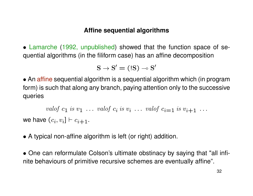## **Affine sequential algorithms**

• Lamarche (1992, unpublished) showed that the function space of sequential algorithms (in the filiform case) has an affine decomposition

$$
\rm{S} \rightarrow \rm{S}' = (\rm{!S}) \multimap \rm{S}'
$$

• An affine sequential algorithm is a sequential algorithm which (in program form) is such that along any branch, paying attention only to the successive queries

valof  $c_1$  is  $v_1$  ... valof  $c_i$  is  $v_i$  ... valof  $c_{i=1}$  is  $v_{i+1}$  ... we have  $(c_i, v_i] \vdash c_{i+1}.$ 

- A typical non-affine algorithm is left (or right) addition.
- One can reformulate Colson's ultimate obstinacy by saying that "all infinite behaviours of primitive recursive schemes are eventually affine".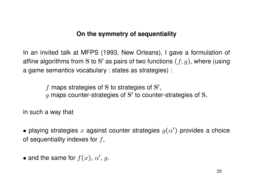# **On the symmetry of sequentiality**

In an invited talk at MFPS (1993, New Orleans), I gave a formulation of affine algorithms from S to S' as pairs of two functions  $(f,g)$ , where (using a game semantics vocabulary : states as strategies) :

> $f$  maps strategies of S to strategies of S',  $g$  maps counter-strategies of S' to counter-strategies of S,

in such a way that

- playing strategies  $x$  against counter strategies  $g(\alpha')$  provides a choice of sequentiality indexes for  $f$ ,
- and the same for  $f(x)$ ,  $\alpha'$ , g.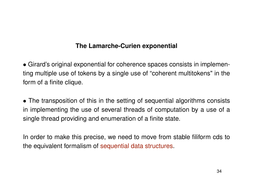# **The Lamarche-Curien exponential**

• Girard's original exponential for coherence spaces consists in implementing multiple use of tokens by a single use of "coherent multitokens" in the form of a finite clique.

• The transposition of this in the setting of sequential algorithms consists in implementing the use of several threads of computation by a use of a single thread providing and enumeration of a finite state.

In order to make this precise, we need to move from stable filiform cds to the equivalent formalism of sequential data structures.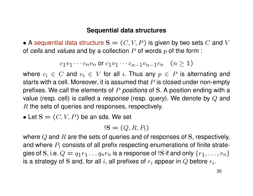## **Sequential data structures**

• A sequential data structure  $S = (C, V, P)$  is given by two sets C and V of *cells* and *values* and by a collection P of words p of the form :

$$
c_1v_1\cdots c_nv_n \text{ or } c_1v_1\cdots c_{n-1}v_{n-1}c_n \quad (n\geq 1)
$$

where  $c_i \in C$  and  $v_i \in V$  for all i. Thus any  $p \in P$  is alternating and starts with a cell. Moreover, it is assumed that  $P$  is closed under non-empty prefixes. We call the elements of P *positions* of S. A position ending with a value (resp. cell) is called a *response* (resp. *query*). We denote by Q and R the sets of queries and responses, respectively.

• Let  $S = (C, V, P)$  be an sds. We set

$$
!S=(Q,R,P_1)
$$

where  $Q$  and  $R$  are the sets of queries and of responses of S, respectively, and where  $P_1$  consists of all prefix respecting enumerations of finite strategies of S, i.e.  $Q = q_1 r_1 \dots q_n r_n$  is a response of !S if and only  $\{r_1, \dots, r_n\}$ is a strategy of S and, for all  $i$ , all prefixes of  $r_i$  appear in  $Q$  before  $r_i.$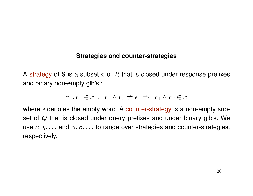## **Strategies and counter-strategies**

A strategy of S is a subset x of R that is closed under response prefixes and binary non-empty glb's :

$$
r_1, r_2 \in x \quad , \quad r_1 \wedge r_2 \neq \epsilon \Rightarrow r_1 \wedge r_2 \in x
$$

where  $\epsilon$  denotes the empty word. A counter-strategy is a non-empty subset of Q that is closed under query prefixes and under binary glb's. We use  $x, y, \ldots$  and  $\alpha, \beta, \ldots$  to range over strategies and counter-strategies, respectively.